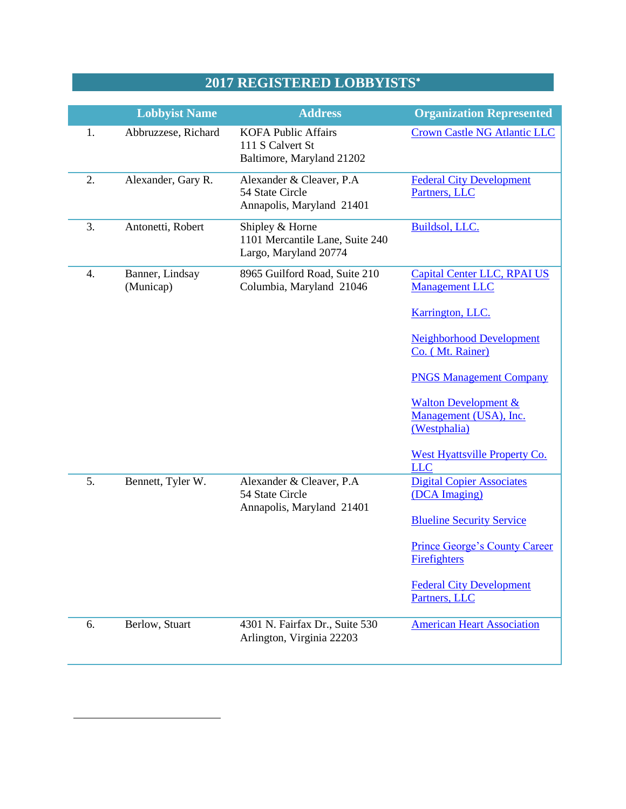## **2017 REGISTERED LOBBYISTS**

|    | <b>Lobbyist Name</b>         | <b>Address</b>                                                              | <b>Organization Represented</b>                                                                                                                                                                                                                                                                             |
|----|------------------------------|-----------------------------------------------------------------------------|-------------------------------------------------------------------------------------------------------------------------------------------------------------------------------------------------------------------------------------------------------------------------------------------------------------|
| 1. | Abbruzzese, Richard          | <b>KOFA Public Affairs</b><br>111 S Calvert St<br>Baltimore, Maryland 21202 | <b>Crown Castle NG Atlantic LLC</b>                                                                                                                                                                                                                                                                         |
| 2. | Alexander, Gary R.           | Alexander & Cleaver, P.A<br>54 State Circle<br>Annapolis, Maryland 21401    | <b>Federal City Development</b><br>Partners, LLC                                                                                                                                                                                                                                                            |
| 3. | Antonetti, Robert            | Shipley & Horne<br>1101 Mercantile Lane, Suite 240<br>Largo, Maryland 20774 | Buildsol, LLC.                                                                                                                                                                                                                                                                                              |
| 4. | Banner, Lindsay<br>(Municap) | 8965 Guilford Road, Suite 210<br>Columbia, Maryland 21046                   | <b>Capital Center LLC, RPAI US</b><br><b>Management LLC</b><br>Karrington, LLC.<br><b>Neighborhood Development</b><br>Co. (Mt. Rainer)<br><b>PNGS Management Company</b><br><b>Walton Development &amp;</b><br>Management (USA), Inc.<br>(Westphalia)<br><b>West Hyattsville Property Co.</b><br><b>LLC</b> |
| 5. | Bennett, Tyler W.            | Alexander & Cleaver, P.A.<br>54 State Circle<br>Annapolis, Maryland 21401   | <b>Digital Copier Associates</b><br>(DCA Imaging)<br><b>Blueline Security Service</b><br><b>Prince George's County Career</b><br><b>Firefighters</b><br><b>Federal City Development</b><br>Partners, LLC                                                                                                    |
| 6. | Berlow, Stuart               | 4301 N. Fairfax Dr., Suite 530<br>Arlington, Virginia 22203                 | <b>American Heart Association</b>                                                                                                                                                                                                                                                                           |

 $\overline{a}$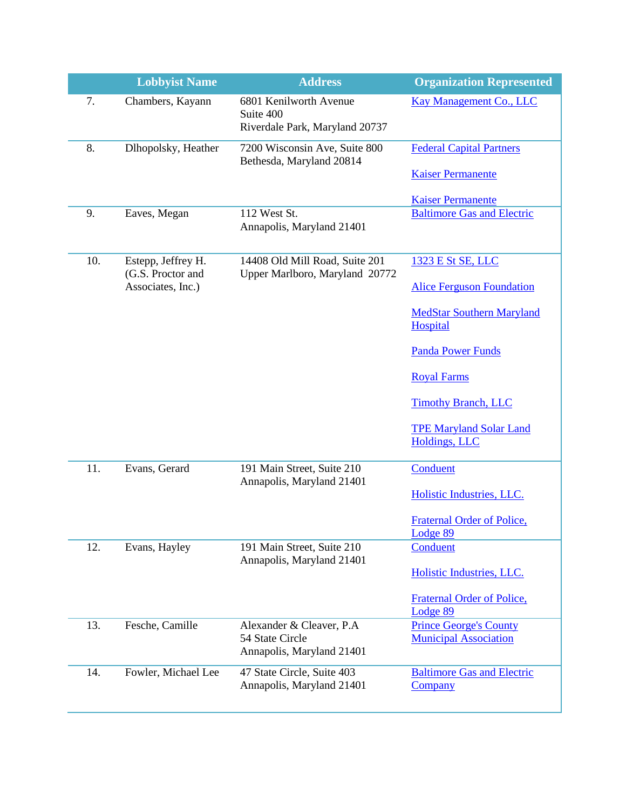|     | <b>Lobbyist Name</b>                   | <b>Address</b>                                                            | <b>Organization Represented</b>                               |
|-----|----------------------------------------|---------------------------------------------------------------------------|---------------------------------------------------------------|
| 7.  | Chambers, Kayann                       | 6801 Kenilworth Avenue<br>Suite 400<br>Riverdale Park, Maryland 20737     | <b>Kay Management Co., LLC</b>                                |
| 8.  | Dlhopolsky, Heather                    | 7200 Wisconsin Ave, Suite 800                                             | <b>Federal Capital Partners</b>                               |
|     |                                        | Bethesda, Maryland 20814                                                  | <b>Kaiser Permanente</b>                                      |
|     |                                        |                                                                           | <b>Kaiser Permanente</b>                                      |
| 9.  | Eaves, Megan                           | 112 West St.<br>Annapolis, Maryland 21401                                 | <b>Baltimore Gas and Electric</b>                             |
| 10. | Estepp, Jeffrey H.                     | 14408 Old Mill Road, Suite 201                                            | 1323 E St SE, LLC                                             |
|     | (G.S. Proctor and<br>Associates, Inc.) | Upper Marlboro, Maryland 20772                                            | <b>Alice Ferguson Foundation</b>                              |
|     |                                        |                                                                           | <b>MedStar Southern Maryland</b><br>Hospital                  |
|     |                                        |                                                                           | <b>Panda Power Funds</b>                                      |
|     |                                        |                                                                           | <b>Royal Farms</b>                                            |
|     |                                        |                                                                           | <b>Timothy Branch, LLC</b>                                    |
|     |                                        |                                                                           | <b>TPE Maryland Solar Land</b><br><b>Holdings, LLC</b>        |
| 11. | Evans, Gerard                          | 191 Main Street, Suite 210<br>Annapolis, Maryland 21401                   | Conduent                                                      |
|     |                                        |                                                                           | Holistic Industries, LLC.                                     |
|     |                                        |                                                                           | <b>Fraternal Order of Police,</b><br>Lodge 89                 |
| 12. | Evans, Hayley                          | 191 Main Street, Suite 210<br>Annapolis, Maryland 21401                   | Conduent                                                      |
|     |                                        |                                                                           | Holistic Industries, LLC.                                     |
|     |                                        |                                                                           | <b>Fraternal Order of Police,</b><br>Lodge 89                 |
| 13. | Fesche, Camille                        | Alexander & Cleaver, P.A.<br>54 State Circle<br>Annapolis, Maryland 21401 | <b>Prince George's County</b><br><b>Municipal Association</b> |
| 14. | Fowler, Michael Lee                    | 47 State Circle, Suite 403<br>Annapolis, Maryland 21401                   | <b>Baltimore Gas and Electric</b><br>Company                  |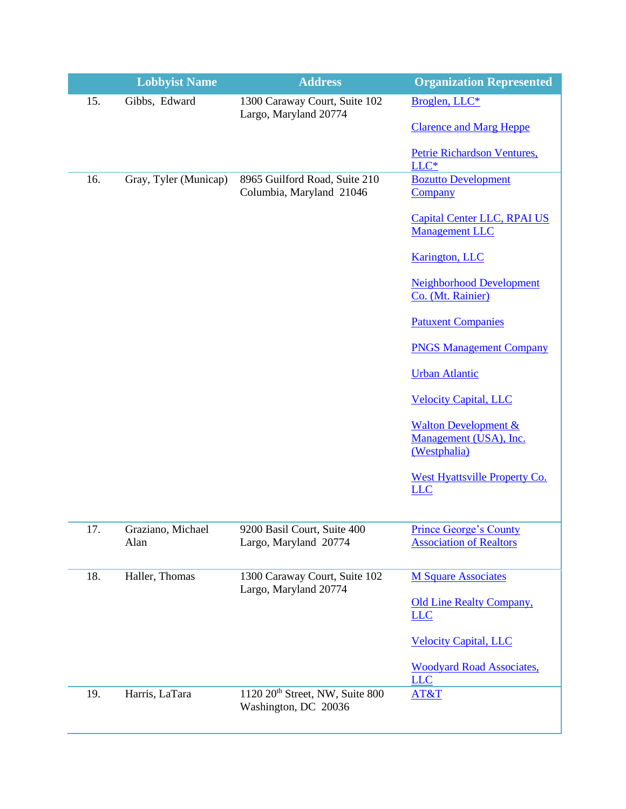|     | <b>Lobbyist Name</b>      | <b>Address</b>                                                      | <b>Organization Represented</b>                                           |
|-----|---------------------------|---------------------------------------------------------------------|---------------------------------------------------------------------------|
| 15. | Gibbs, Edward             | 1300 Caraway Court, Suite 102<br>Largo, Maryland 20774              | Broglen, LLC*                                                             |
|     |                           |                                                                     | <b>Clarence and Marg Heppe</b>                                            |
|     |                           |                                                                     | Petrie Richardson Ventures,<br>$LLC*$                                     |
| 16. | Gray, Tyler (Municap)     | 8965 Guilford Road, Suite 210<br>Columbia, Maryland 21046           | <b>Bozutto Development</b><br>Company                                     |
|     |                           |                                                                     | <b>Capital Center LLC, RPAI US</b><br><b>Management LLC</b>               |
|     |                           |                                                                     | <b>Karington</b> , LLC                                                    |
|     |                           |                                                                     | <b>Neighborhood Development</b><br>Co. (Mt. Rainier)                      |
|     |                           |                                                                     | <b>Patuxent Companies</b>                                                 |
|     |                           |                                                                     | <b>PNGS Management Company</b>                                            |
|     |                           |                                                                     | <b>Urban Atlantic</b>                                                     |
|     |                           |                                                                     | <b>Velocity Capital, LLC</b>                                              |
|     |                           |                                                                     | <b>Walton Development &amp;</b><br>Management (USA), Inc.<br>(Westphalia) |
|     |                           |                                                                     | West Hyattsville Property Co.<br><b>LLC</b>                               |
|     |                           |                                                                     |                                                                           |
| 17. | Graziano, Michael<br>Alan | 9200 Basil Court, Suite 400<br>Largo, Maryland 20774                | Prince George's County<br><b>Association of Realtors</b>                  |
| 18. | Haller, Thomas            | 1300 Caraway Court, Suite 102<br>Largo, Maryland 20774              | <b>M Square Associates</b>                                                |
|     |                           |                                                                     | <b>Old Line Realty Company,</b><br><b>LLC</b>                             |
|     |                           |                                                                     | <b>Velocity Capital, LLC</b>                                              |
|     |                           |                                                                     | <b>Woodyard Road Associates,</b><br><b>LLC</b>                            |
| 19. | Harris, LaTara            | 1120 20 <sup>th</sup> Street, NW, Suite 800<br>Washington, DC 20036 | AT&T                                                                      |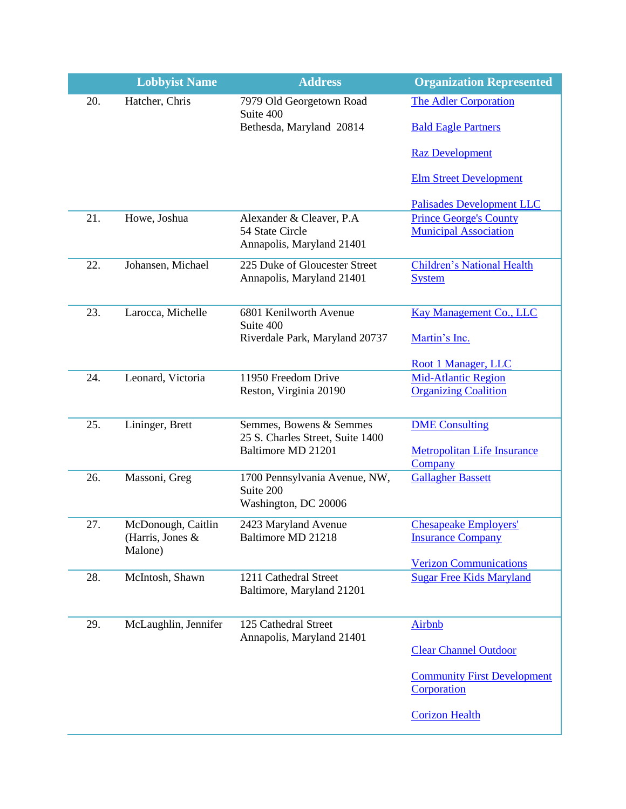|     | <b>Lobbyist Name</b>        | <b>Address</b>                                                            | <b>Organization Represented</b>                               |
|-----|-----------------------------|---------------------------------------------------------------------------|---------------------------------------------------------------|
| 20. | Hatcher, Chris              | 7979 Old Georgetown Road                                                  | <b>The Adler Corporation</b>                                  |
|     |                             | Suite 400<br>Bethesda, Maryland 20814                                     | <b>Bald Eagle Partners</b>                                    |
|     |                             |                                                                           | <b>Raz Development</b>                                        |
|     |                             |                                                                           | <b>Elm Street Development</b>                                 |
|     |                             |                                                                           | <b>Palisades Development LLC</b>                              |
| 21. | Howe, Joshua                | Alexander & Cleaver, P.A.<br>54 State Circle<br>Annapolis, Maryland 21401 | <b>Prince George's County</b><br><b>Municipal Association</b> |
| 22. | Johansen, Michael           | 225 Duke of Gloucester Street<br>Annapolis, Maryland 21401                | <b>Children's National Health</b><br><b>System</b>            |
| 23. | Larocca, Michelle           | 6801 Kenilworth Avenue<br>Suite 400                                       | <b>Kay Management Co., LLC</b>                                |
|     |                             | Riverdale Park, Maryland 20737                                            | Martin's Inc.                                                 |
|     |                             |                                                                           | Root 1 Manager, LLC                                           |
| 24. | Leonard, Victoria           | 11950 Freedom Drive                                                       | <b>Mid-Atlantic Region</b>                                    |
|     |                             | Reston, Virginia 20190                                                    | <b>Organizing Coalition</b>                                   |
| 25. | Lininger, Brett             | Semmes, Bowens & Semmes                                                   | <b>DME</b> Consulting                                         |
|     |                             | 25 S. Charles Street, Suite 1400<br>Baltimore MD 21201                    | <b>Metropolitan Life Insurance</b><br>Company                 |
| 26. | Massoni, Greg               | 1700 Pennsylvania Avenue, NW,<br>Suite 200                                | <b>Gallagher Bassett</b>                                      |
|     |                             | Washington, DC 20006                                                      |                                                               |
| 27. | McDonough, Caitlin          | 2423 Maryland Avenue                                                      | <b>Chesapeake Employers'</b>                                  |
|     | (Harris, Jones &<br>Malone) | Baltimore MD 21218                                                        | <b>Insurance Company</b>                                      |
|     |                             |                                                                           | <b>Verizon Communications</b>                                 |
| 28. | McIntosh, Shawn             | 1211 Cathedral Street<br>Baltimore, Maryland 21201                        | <b>Sugar Free Kids Maryland</b>                               |
| 29. | McLaughlin, Jennifer        | 125 Cathedral Street                                                      | <b>Airbnb</b>                                                 |
|     |                             | Annapolis, Maryland 21401                                                 | <b>Clear Channel Outdoor</b>                                  |
|     |                             |                                                                           | <b>Community First Development</b>                            |
|     |                             |                                                                           | Corporation                                                   |
|     |                             |                                                                           | <b>Corizon Health</b>                                         |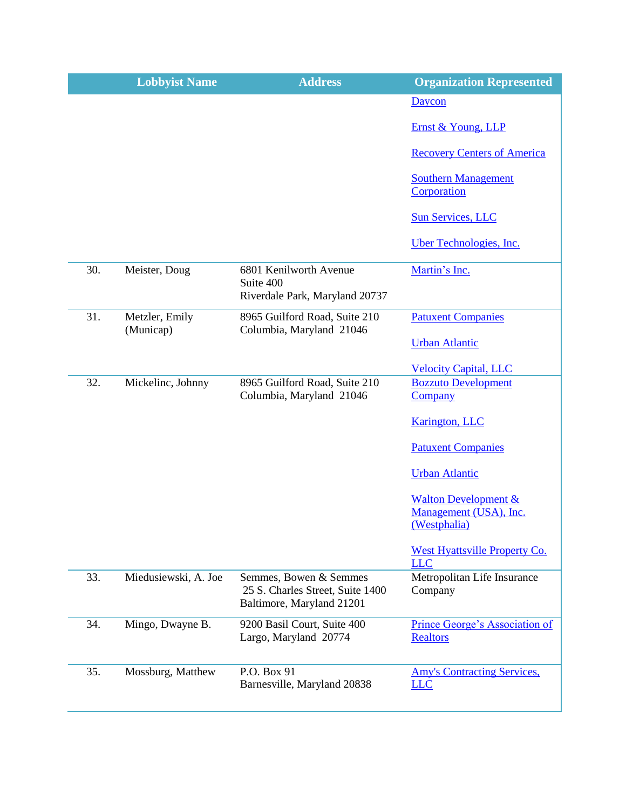|     | <b>Lobbyist Name</b>        | <b>Address</b>                                                                          | <b>Organization Represented</b>                          |
|-----|-----------------------------|-----------------------------------------------------------------------------------------|----------------------------------------------------------|
|     |                             |                                                                                         | Daycon                                                   |
|     |                             |                                                                                         | Ernst & Young, LLP                                       |
|     |                             |                                                                                         | <b>Recovery Centers of America</b>                       |
|     |                             |                                                                                         | <b>Southern Management</b><br>Corporation                |
|     |                             |                                                                                         | <b>Sun Services, LLC</b>                                 |
|     |                             |                                                                                         | Uber Technologies, Inc.                                  |
| 30. | Meister, Doug               | 6801 Kenilworth Avenue<br>Suite 400                                                     | Martin's Inc.                                            |
|     |                             | Riverdale Park, Maryland 20737                                                          |                                                          |
| 31. | Metzler, Emily<br>(Municap) | 8965 Guilford Road, Suite 210<br>Columbia, Maryland 21046                               | <b>Patuxent Companies</b>                                |
|     |                             |                                                                                         | <b>Urban Atlantic</b>                                    |
|     |                             |                                                                                         | <b>Velocity Capital, LLC</b>                             |
| 32. | Mickelinc, Johnny           | 8965 Guilford Road, Suite 210<br>Columbia, Maryland 21046                               | <b>Bozzuto Development</b><br><b>Company</b>             |
|     |                             |                                                                                         | <b>Karington</b> , LLC                                   |
|     |                             |                                                                                         | <b>Patuxent Companies</b>                                |
|     |                             |                                                                                         | <b>Urban Atlantic</b>                                    |
|     |                             |                                                                                         | <b>Walton Development &amp;</b>                          |
|     |                             |                                                                                         | Management (USA), Inc.<br>(Westphalia)                   |
|     |                             |                                                                                         | <b>West Hyattsville Property Co.</b><br><b>LLC</b>       |
| 33. | Miedusiewski, A. Joe        | Semmes, Bowen & Semmes<br>25 S. Charles Street, Suite 1400<br>Baltimore, Maryland 21201 | Metropolitan Life Insurance<br>Company                   |
| 34. | Mingo, Dwayne B.            | 9200 Basil Court, Suite 400<br>Largo, Maryland 20774                                    | <b>Prince George's Association of</b><br><b>Realtors</b> |
|     |                             |                                                                                         |                                                          |
| 35. | Mossburg, Matthew           | P.O. Box 91<br>Barnesville, Maryland 20838                                              | <b>Amy's Contracting Services,</b><br><b>LLC</b>         |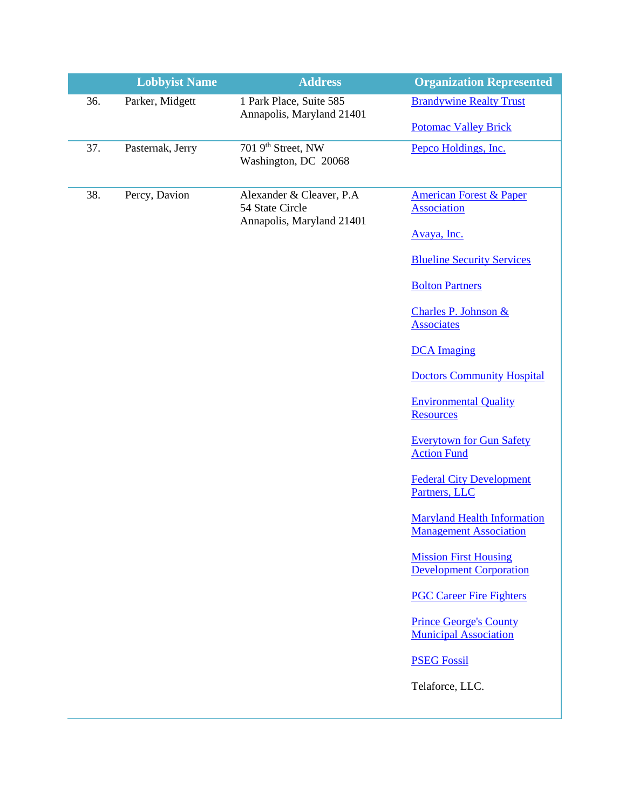|     | <b>Lobbyist Name</b> | <b>Address</b>                                                           | <b>Organization Represented</b>                                     |
|-----|----------------------|--------------------------------------------------------------------------|---------------------------------------------------------------------|
| 36. | Parker, Midgett      | 1 Park Place, Suite 585<br>Annapolis, Maryland 21401                     | <b>Brandywine Realty Trust</b>                                      |
|     |                      |                                                                          | <b>Potomac Valley Brick</b>                                         |
| 37. | Pasternak, Jerry     | 701 9th Street, NW<br>Washington, DC 20068                               | Pepco Holdings, Inc.                                                |
| 38. | Percy, Davion        | Alexander & Cleaver, P.A<br>54 State Circle<br>Annapolis, Maryland 21401 | <b>American Forest &amp; Paper</b><br><b>Association</b>            |
|     |                      |                                                                          | Avaya, Inc.                                                         |
|     |                      |                                                                          | <b>Blueline Security Services</b>                                   |
|     |                      |                                                                          | <b>Bolton Partners</b>                                              |
|     |                      |                                                                          | Charles P. Johnson &<br><b>Associates</b>                           |
|     |                      |                                                                          | <b>DCA</b> Imaging                                                  |
|     |                      |                                                                          | <b>Doctors Community Hospital</b>                                   |
|     |                      |                                                                          | <b>Environmental Quality</b><br>Resources                           |
|     |                      |                                                                          | <b>Everytown for Gun Safety</b><br><b>Action Fund</b>               |
|     |                      |                                                                          | <b>Federal City Development</b><br>Partners, LLC                    |
|     |                      |                                                                          | <b>Maryland Health Information</b><br><b>Management Association</b> |
|     |                      |                                                                          | <b>Mission First Housing</b><br><b>Development Corporation</b>      |
|     |                      |                                                                          | <b>PGC Career Fire Fighters</b>                                     |
|     |                      |                                                                          | <b>Prince George's County</b><br><b>Municipal Association</b>       |
|     |                      |                                                                          | <b>PSEG Fossil</b>                                                  |
|     |                      |                                                                          | Telaforce, LLC.                                                     |
|     |                      |                                                                          |                                                                     |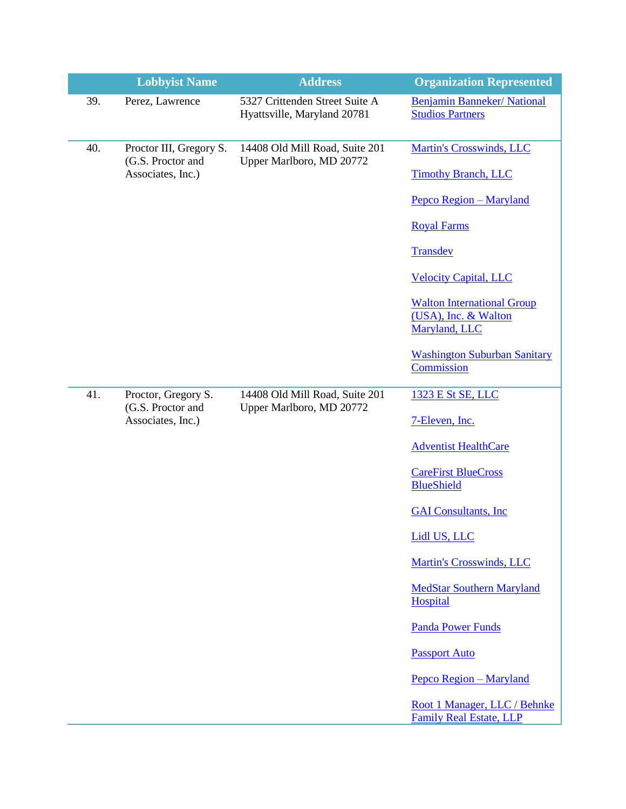|     | <b>Lobbyist Name</b>                         | <b>Address</b>                                                | <b>Organization Represented</b>                                |
|-----|----------------------------------------------|---------------------------------------------------------------|----------------------------------------------------------------|
| 39. | Perez, Lawrence                              | 5327 Crittenden Street Suite A<br>Hyattsville, Maryland 20781 | <b>Benjamin Banneker/ National</b><br><b>Studios Partners</b>  |
| 40. | Proctor III, Gregory S.<br>(G.S. Proctor and | 14408 Old Mill Road, Suite 201<br>Upper Marlboro, MD 20772    | <b>Martin's Crosswinds, LLC</b>                                |
|     | Associates, Inc.)                            |                                                               | <b>Timothy Branch, LLC</b>                                     |
|     |                                              |                                                               | Pepco Region - Maryland                                        |
|     |                                              |                                                               | <b>Royal Farms</b>                                             |
|     |                                              |                                                               | Transdev                                                       |
|     |                                              |                                                               | <b>Velocity Capital, LLC</b>                                   |
|     |                                              |                                                               | <b>Walton International Group</b>                              |
|     |                                              |                                                               | (USA), Inc. & Walton<br>Maryland, LLC                          |
|     |                                              |                                                               | <b>Washington Suburban Sanitary</b>                            |
|     |                                              |                                                               | Commission                                                     |
| 41. | Proctor, Gregory S.<br>(G.S. Proctor and     | 14408 Old Mill Road, Suite 201<br>Upper Marlboro, MD 20772    | 1323 E St SE, LLC                                              |
|     | Associates, Inc.)                            |                                                               | 7-Eleven, Inc.                                                 |
|     |                                              |                                                               | <b>Adventist HealthCare</b>                                    |
|     |                                              |                                                               | <b>CareFirst BlueCross</b>                                     |
|     |                                              |                                                               | <b>BlueShield</b>                                              |
|     |                                              |                                                               | <b>GAI Consultants, Inc.</b>                                   |
|     |                                              |                                                               | Lidl US, LLC                                                   |
|     |                                              |                                                               | <b>Martin's Crosswinds, LLC</b>                                |
|     |                                              |                                                               | <b>MedStar Southern Maryland</b><br>Hospital                   |
|     |                                              |                                                               | <b>Panda Power Funds</b>                                       |
|     |                                              |                                                               | <b>Passport Auto</b>                                           |
|     |                                              |                                                               | Pepco Region - Maryland                                        |
|     |                                              |                                                               | Root 1 Manager, LLC / Behnke<br><b>Family Real Estate, LLP</b> |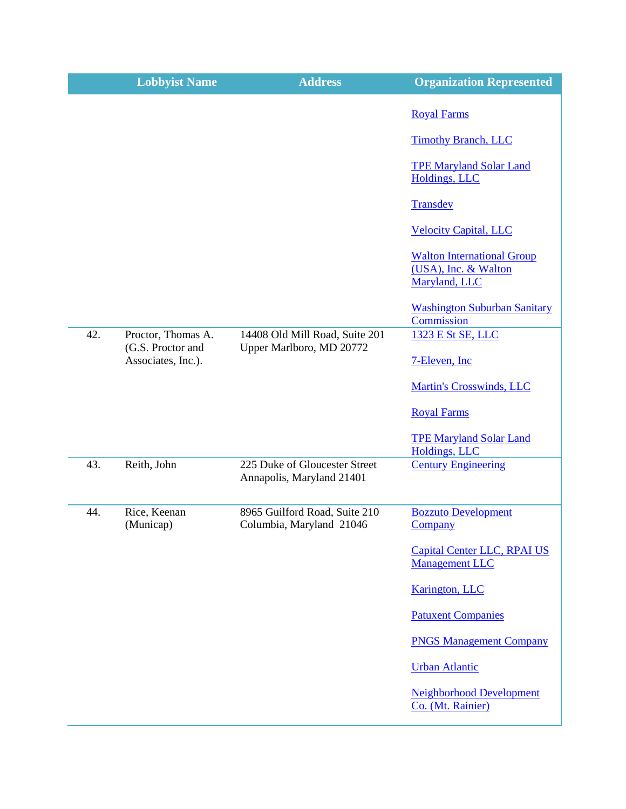|     | <b>Lobbyist Name</b>                    | <b>Address</b>                                             | <b>Organization Represented</b>                                            |
|-----|-----------------------------------------|------------------------------------------------------------|----------------------------------------------------------------------------|
|     |                                         |                                                            | <b>Royal Farms</b>                                                         |
|     |                                         |                                                            | <b>Timothy Branch, LLC</b>                                                 |
|     |                                         |                                                            | <b>TPE Maryland Solar Land</b><br>Holdings, LLC                            |
|     |                                         |                                                            | Transdev                                                                   |
|     |                                         |                                                            | <b>Velocity Capital, LLC</b>                                               |
|     |                                         |                                                            | <b>Walton International Group</b><br>(USA), Inc. & Walton<br>Maryland, LLC |
|     |                                         |                                                            | <b>Washington Suburban Sanitary</b><br>Commission                          |
| 42. | Proctor, Thomas A.<br>(G.S. Proctor and | 14408 Old Mill Road, Suite 201<br>Upper Marlboro, MD 20772 | 1323 E St SE, LLC                                                          |
|     | Associates, Inc.).                      |                                                            | 7-Eleven, Inc.                                                             |
|     |                                         |                                                            | <b>Martin's Crosswinds, LLC</b>                                            |
|     |                                         |                                                            | <b>Royal Farms</b>                                                         |
|     |                                         |                                                            | <b>TPE Maryland Solar Land</b><br><b>Holdings, LLC</b>                     |
| 43. | Reith, John                             | 225 Duke of Gloucester Street<br>Annapolis, Maryland 21401 | <b>Century Engineering</b>                                                 |
| 44. | Rice, Keenan<br>(Municap)               | 8965 Guilford Road, Suite 210<br>Columbia, Maryland 21046  | <b>Bozzuto Development</b><br>Company                                      |
|     |                                         |                                                            | <b>Capital Center LLC, RPAI US</b><br><b>Management LLC</b>                |
|     |                                         |                                                            | <b>Karington</b> , LLC                                                     |
|     |                                         |                                                            | <b>Patuxent Companies</b>                                                  |
|     |                                         |                                                            | <b>PNGS Management Company</b>                                             |
|     |                                         |                                                            | <b>Urban Atlantic</b>                                                      |
|     |                                         |                                                            | <b>Neighborhood Development</b><br>Co. (Mt. Rainier)                       |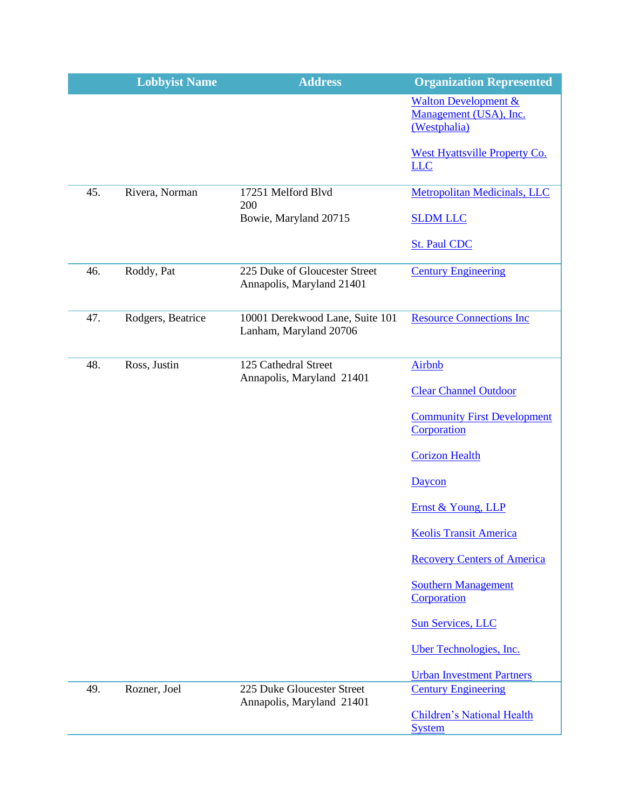|     | <b>Lobbyist Name</b> | <b>Address</b>                                             | <b>Organization Represented</b>                                           |
|-----|----------------------|------------------------------------------------------------|---------------------------------------------------------------------------|
|     |                      |                                                            | <b>Walton Development &amp;</b><br>Management (USA), Inc.<br>(Westphalia) |
|     |                      |                                                            | <b>West Hyattsville Property Co.</b><br><b>LLC</b>                        |
| 45. | Rivera, Norman       | 17251 Melford Blvd<br>200                                  | <b>Metropolitan Medicinals, LLC</b>                                       |
|     |                      | Bowie, Maryland 20715                                      | <b>SLDM LLC</b>                                                           |
|     |                      |                                                            | <b>St. Paul CDC</b>                                                       |
| 46. | Roddy, Pat           | 225 Duke of Gloucester Street<br>Annapolis, Maryland 21401 | <b>Century Engineering</b>                                                |
| 47. | Rodgers, Beatrice    | 10001 Derekwood Lane, Suite 101<br>Lanham, Maryland 20706  | <b>Resource Connections Inc</b>                                           |
| 48. | Ross, Justin         | 125 Cathedral Street<br>Annapolis, Maryland 21401          | <b>Airbnb</b>                                                             |
|     |                      |                                                            | <b>Clear Channel Outdoor</b>                                              |
|     |                      |                                                            | <b>Community First Development</b><br>Corporation                         |
|     |                      |                                                            | <b>Corizon Health</b>                                                     |
|     |                      |                                                            | Daycon                                                                    |
|     |                      |                                                            | Ernst & Young, LLP                                                        |
|     |                      |                                                            | <b>Keolis Transit America</b>                                             |
|     |                      |                                                            | <b>Recovery Centers of America</b>                                        |
|     |                      |                                                            | <b>Southern Management</b><br>Corporation                                 |
|     |                      |                                                            | <b>Sun Services, LLC</b>                                                  |
|     |                      |                                                            | Uber Technologies, Inc.                                                   |
|     |                      |                                                            | <b>Urban Investment Partners</b>                                          |
| 49. | Rozner, Joel         | 225 Duke Gloucester Street<br>Annapolis, Maryland 21401    | <b>Century Engineering</b>                                                |
|     |                      |                                                            | <b>Children's National Health</b><br><b>System</b>                        |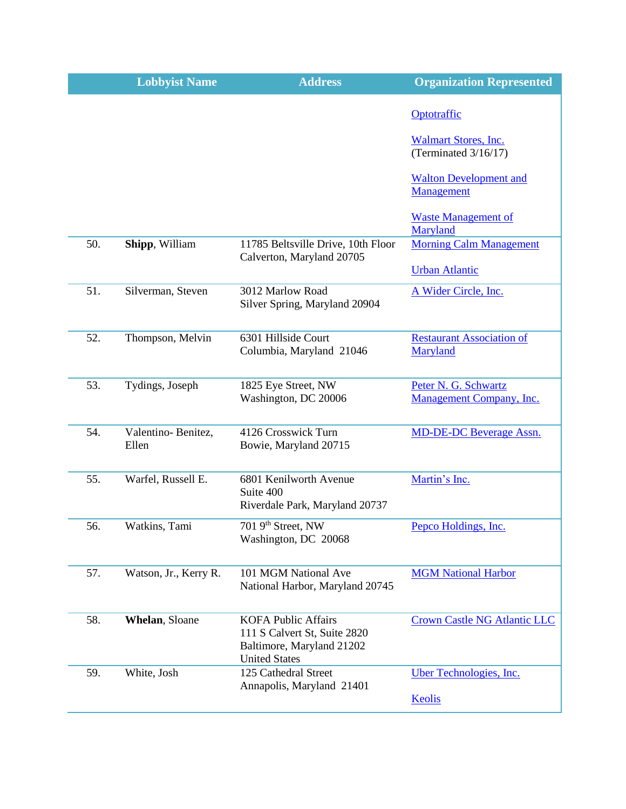|     | <b>Lobbyist Name</b>        | <b>Address</b>                                                                                                  | <b>Organization Represented</b>                     |
|-----|-----------------------------|-----------------------------------------------------------------------------------------------------------------|-----------------------------------------------------|
|     |                             |                                                                                                                 | Optotraffic                                         |
|     |                             |                                                                                                                 | <b>Walmart Stores, Inc.</b><br>(Terminated 3/16/17) |
|     |                             |                                                                                                                 | <b>Walton Development and</b><br>Management         |
|     |                             |                                                                                                                 | <b>Waste Management of</b><br>Maryland              |
| 50. | Shipp, William              | 11785 Beltsville Drive, 10th Floor<br>Calverton, Maryland 20705                                                 | <b>Morning Calm Management</b>                      |
|     |                             |                                                                                                                 | <b>Urban Atlantic</b>                               |
| 51. | Silverman, Steven           | 3012 Marlow Road<br>Silver Spring, Maryland 20904                                                               | A Wider Circle, Inc.                                |
| 52. | Thompson, Melvin            | 6301 Hillside Court<br>Columbia, Maryland 21046                                                                 | <b>Restaurant Association of</b><br>Maryland        |
| 53. | Tydings, Joseph             | 1825 Eye Street, NW<br>Washington, DC 20006                                                                     | Peter N. G. Schwartz<br>Management Company, Inc.    |
| 54. | Valentino-Benitez,<br>Ellen | 4126 Crosswick Turn<br>Bowie, Maryland 20715                                                                    | <b>MD-DE-DC Beverage Assn.</b>                      |
| 55. | Warfel, Russell E.          | 6801 Kenilworth Avenue<br>Suite 400<br>Riverdale Park, Maryland 20737                                           | Martin's Inc.                                       |
| 56. | Watkins, Tami               | 701 9th Street, NW<br>Washington, DC 20068                                                                      | Pepco Holdings, Inc.                                |
| 57. | Watson, Jr., Kerry R.       | 101 MGM National Ave<br>National Harbor, Maryland 20745                                                         | <b>MGM National Harbor</b>                          |
| 58. | Whelan, Sloane              | <b>KOFA Public Affairs</b><br>111 S Calvert St, Suite 2820<br>Baltimore, Maryland 21202<br><b>United States</b> | <b>Crown Castle NG Atlantic LLC</b>                 |
| 59. | White, Josh                 | 125 Cathedral Street<br>Annapolis, Maryland 21401                                                               | Uber Technologies, Inc.                             |
|     |                             |                                                                                                                 | Keolis                                              |